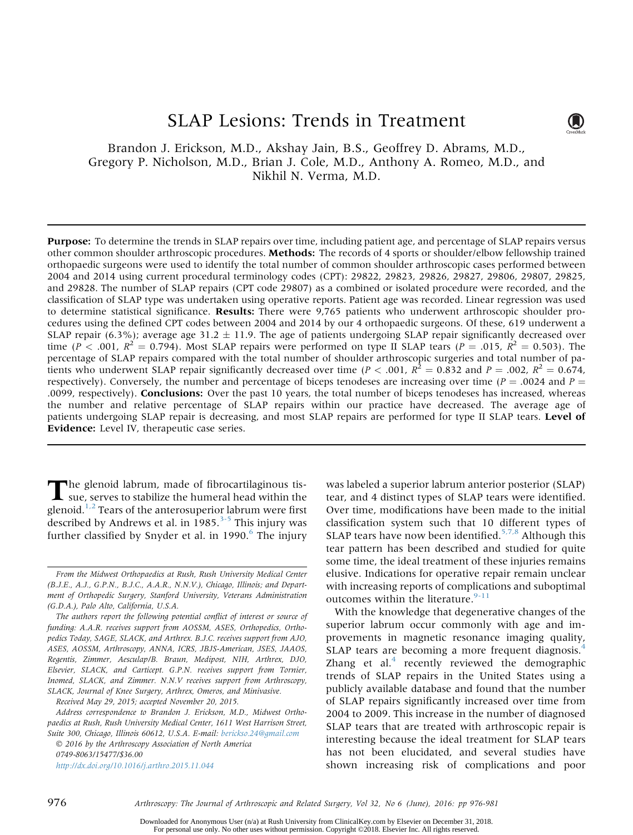# SLAP Lesions: Trends in Treatment

Brandon J. Erickson, M.D., Akshay Jain, B.S., Geoffrey D. Abrams, M.D., Gregory P. Nicholson, M.D., Brian J. Cole, M.D., Anthony A. Romeo, M.D., and Nikhil N. Verma, M.D.

Purpose: To determine the trends in SLAP repairs over time, including patient age, and percentage of SLAP repairs versus other common shoulder arthroscopic procedures. Methods: The records of 4 sports or shoulder/elbow fellowship trained orthopaedic surgeons were used to identify the total number of common shoulder arthroscopic cases performed between 2004 and 2014 using current procedural terminology codes (CPT): 29822, 29823, 29826, 29827, 29806, 29807, 29825, and 29828. The number of SLAP repairs (CPT code 29807) as a combined or isolated procedure were recorded, and the classification of SLAP type was undertaken using operative reports. Patient age was recorded. Linear regression was used to determine statistical significance. **Results:** There were 9,765 patients who underwent arthroscopic shoulder procedures using the defined CPT codes between 2004 and 2014 by our 4 orthopaedic surgeons. Of these, 619 underwent a SLAP repair (6.3%); average age 31.2  $\pm$  11.9. The age of patients undergoing SLAP repair significantly decreased over time (P < .001,  $R^2 = 0.794$ ). Most SLAP repairs were performed on type II SLAP tears (P = .015,  $R^2 = 0.503$ ). The percentage of SLAP repairs compared with the total number of shoulder arthroscopic surgeries and total number of patients who underwent SLAP repair significantly decreased over time ( $P < .001$ ,  $R^2 = 0.832$  and  $P = .002$ ,  $R^2 = 0.674$ , respectively). Conversely, the number and percentage of biceps tenodeses are increasing over time ( $P = .0024$  and  $P =$ .0099, respectively). Conclusions: Over the past 10 years, the total number of biceps tenodeses has increased, whereas the number and relative percentage of SLAP repairs within our practice have decreased. The average age of patients undergoing SLAP repair is decreasing, and most SLAP repairs are performed for type II SLAP tears. Level of Evidence: Level IV, therapeutic case series.

The glenoid labrum, made of fibrocartilaginous tis-<br>sue, serves to stabilize the humeral head within the glenoid.<sup>1,2</sup> Tears of the anterosuperior labrum were first described by Andrews et al. in 1985. $3-5$  This injury was further classified by Snyder et al. in  $1990^\circ$ . The injury

 2016 by the Arthroscopy Association of North America 0749-8063/15477/\$36.00 http://dx.doi.org/10.1016/j.arthro.2015.11.044

was labeled a superior labrum anterior posterior (SLAP) tear, and 4 distinct types of SLAP tears were identified. Over time, modifications have been made to the initial classification system such that 10 different types of SLAP tears have now been identified.<sup>5,7,8</sup> Although this tear pattern has been described and studied for quite some time, the ideal treatment of these injuries remains elusive. Indications for operative repair remain unclear with increasing reports of complications and suboptimal outcomes within the literature. $9-11$ 

With the knowledge that degenerative changes of the superior labrum occur commonly with age and improvements in magnetic resonance imaging quality, SLAP tears are becoming a more frequent diagnosis.<sup>4</sup> Zhang et al. $4$  recently reviewed the demographic trends of SLAP repairs in the United States using a publicly available database and found that the number of SLAP repairs significantly increased over time from 2004 to 2009. This increase in the number of diagnosed SLAP tears that are treated with arthroscopic repair is interesting because the ideal treatment for SLAP tears has not been elucidated, and several studies have shown increasing risk of complications and poor

From the Midwest Orthopaedics at Rush, Rush University Medical Center (B.J.E., A.J., G.P.N., B.J.C., A.A.R., N.N.V.), Chicago, Illinois; and Department of Orthopedic Surgery, Stanford University, Veterans Administration (G.D.A.), Palo Alto, California, U.S.A.

The authors report the following potential conflict of interest or source of funding: A.A.R. receives support from AOSSM, ASES, Orthopedics, Orthopedics Today, SAGE, SLACK, and Arthrex. B.J.C. receives support from AJO, ASES, AOSSM, Arthroscopy, ANNA, ICRS, JBJS-American, JSES, JAAOS, Regentis, Zimmer, Aesculap/B. Braun, Medipost, NIH, Arthrex, DJO, Elsevier, SLACK, and Carticept. G.P.N. receives support from Tornier, Inomed, SLACK, and Zimmer. N.N.V receives support from Arthroscopy, SLACK, Journal of Knee Surgery, Arthrex, Omeros, and Minivasive.

Received May 29, 2015; accepted November 20, 2015.

Address correspondence to Brandon J. Erickson, M.D., Midwest Orthopaedics at Rush, Rush University Medical Center, 1611 West Harrison Street, Suite 300, Chicago, Illinois 60612, U.S.A. E-mail: berickso.24@gmail.com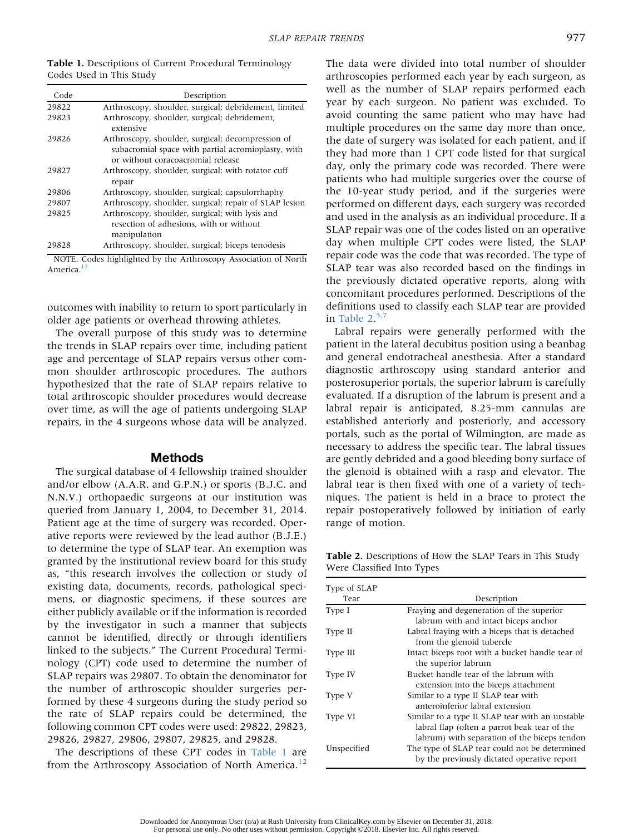Table 1. Descriptions of Current Procedural Terminology Codes Used in This Study Code Description 29822 Arthroscopy, shoulder, surgical; debridement, limited 29823 Arthroscopy, shoulder, surgical; debridement,

| $\sim$ , and $\sim$ | Artinoscopy, shoulder, surgical, debridement, immed    |
|---------------------|--------------------------------------------------------|
| 29823               | Arthroscopy, shoulder, surgical; debridement,          |
|                     | extensive                                              |
| 29826               | Arthroscopy, shoulder, surgical; decompression of      |
|                     | subacromial space with partial acromioplasty, with     |
|                     | or without coracoacromial release                      |
| 29827               | Arthroscopy, shoulder, surgical; with rotator cuff     |
|                     | repair                                                 |
| 29806               | Arthroscopy, shoulder, surgical; capsulorrhaphy        |
| 29807               | Arthroscopy, shoulder, surgical; repair of SLAP lesion |
| 29825               | Arthroscopy, shoulder, surgical; with lysis and        |
|                     | resection of adhesions, with or without                |
|                     | manipulation                                           |
| 29828               | Arthroscopy, shoulder, surgical; biceps tenodesis      |
|                     | $\mathbf{c}$ $\mathbf{v}$<br>$\mathbf{r}$              |

NOTE. Codes highlighted by the Arthroscopy Association of North America.<sup>12</sup>

outcomes with inability to return to sport particularly in older age patients or overhead throwing athletes.

The overall purpose of this study was to determine the trends in SLAP repairs over time, including patient age and percentage of SLAP repairs versus other common shoulder arthroscopic procedures. The authors hypothesized that the rate of SLAP repairs relative to total arthroscopic shoulder procedures would decrease over time, as will the age of patients undergoing SLAP repairs, in the 4 surgeons whose data will be analyzed.

### Methods

The surgical database of 4 fellowship trained shoulder and/or elbow (A.A.R. and G.P.N.) or sports (B.J.C. and N.N.V.) orthopaedic surgeons at our institution was queried from January 1, 2004, to December 31, 2014. Patient age at the time of surgery was recorded. Operative reports were reviewed by the lead author (B.J.E.) to determine the type of SLAP tear. An exemption was granted by the institutional review board for this study as, "this research involves the collection or study of existing data, documents, records, pathological specimens, or diagnostic specimens, if these sources are either publicly available or if the information is recorded by the investigator in such a manner that subjects cannot be identified, directly or through identifiers linked to the subjects." The Current Procedural Terminology (CPT) code used to determine the number of SLAP repairs was 29807. To obtain the denominator for the number of arthroscopic shoulder surgeries performed by these 4 surgeons during the study period so the rate of SLAP repairs could be determined, the following common CPT codes were used: 29822, 29823, 29826, 29827, 29806, 29807, 29825, and 29828.

The descriptions of these CPT codes in Table 1 are from the Arthroscopy Association of North America.<sup>12</sup>

The data were divided into total number of shoulder arthroscopies performed each year by each surgeon, as well as the number of SLAP repairs performed each year by each surgeon. No patient was excluded. To avoid counting the same patient who may have had multiple procedures on the same day more than once, the date of surgery was isolated for each patient, and if they had more than 1 CPT code listed for that surgical day, only the primary code was recorded. There were patients who had multiple surgeries over the course of the 10-year study period, and if the surgeries were performed on different days, each surgery was recorded and used in the analysis as an individual procedure. If a SLAP repair was one of the codes listed on an operative day when multiple CPT codes were listed, the SLAP repair code was the code that was recorded. The type of SLAP tear was also recorded based on the findings in the previously dictated operative reports, along with concomitant procedures performed. Descriptions of the definitions used to classify each SLAP tear are provided in Table  $2.^{5,7}$ 

Labral repairs were generally performed with the patient in the lateral decubitus position using a beanbag and general endotracheal anesthesia. After a standard diagnostic arthroscopy using standard anterior and posterosuperior portals, the superior labrum is carefully evaluated. If a disruption of the labrum is present and a labral repair is anticipated, 8.25-mm cannulas are established anteriorly and posteriorly, and accessory portals, such as the portal of Wilmington, are made as necessary to address the specific tear. The labral tissues are gently debrided and a good bleeding bony surface of the glenoid is obtained with a rasp and elevator. The labral tear is then fixed with one of a variety of techniques. The patient is held in a brace to protect the repair postoperatively followed by initiation of early range of motion.

Table 2. Descriptions of How the SLAP Tears in This Study Were Classified Into Types

| Type of SLAP |                                                 |  |  |  |
|--------------|-------------------------------------------------|--|--|--|
| Tear         | Description                                     |  |  |  |
| Type I       | Fraying and degeneration of the superior        |  |  |  |
|              | labrum with and intact biceps anchor            |  |  |  |
| Type II      | Labral fraying with a biceps that is detached   |  |  |  |
|              | from the glenoid tubercle                       |  |  |  |
| Type III     | Intact biceps root with a bucket handle tear of |  |  |  |
|              | the superior labrum                             |  |  |  |
| Type IV      | Bucket handle tear of the labrum with           |  |  |  |
|              | extension into the biceps attachment            |  |  |  |
| Type V       | Similar to a type II SLAP tear with             |  |  |  |
|              | anteroinferior labral extension                 |  |  |  |
| Type VI      | Similar to a type II SLAP tear with an unstable |  |  |  |
|              | labral flap (often a parrot beak tear of the    |  |  |  |
|              | labrum) with separation of the biceps tendon    |  |  |  |
| Unspecified  | The type of SLAP tear could not be determined   |  |  |  |
|              | by the previously dictated operative report     |  |  |  |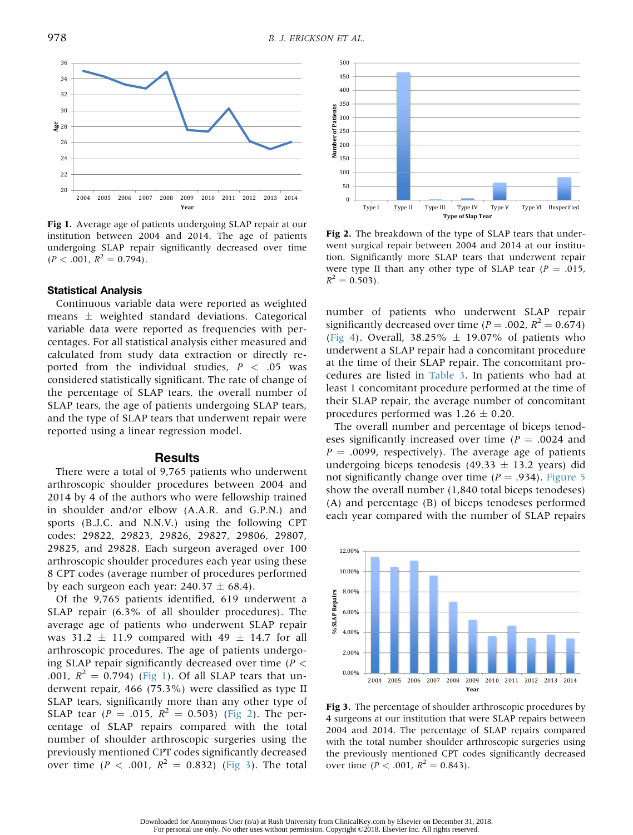

Fig 1. Average age of patients undergoing SLAP repair at our institution between 2004 and 2014. The age of patients undergoing SLAP repair significantly decreased over time  $(P < .001, R^2 = 0.794).$ 

#### Statistical Analysis

Continuous variable data were reported as weighted means  $\pm$  weighted standard deviations. Categorical variable data were reported as frequencies with percentages. For all statistical analysis either measured and calculated from study data extraction or directly reported from the individual studies,  $P < .05$  was considered statistically significant. The rate of change of the percentage of SLAP tears, the overall number of SLAP tears, the age of patients undergoing SLAP tears, and the type of SLAP tears that underwent repair were reported using a linear regression model.

#### Results

There were a total of 9,765 patients who underwent arthroscopic shoulder procedures between 2004 and 2014 by 4 of the authors who were fellowship trained in shoulder and/or elbow (A.A.R. and G.P.N.) and sports (B.J.C. and N.N.V.) using the following CPT codes: 29822, 29823, 29826, 29827, 29806, 29807, 29825, and 29828. Each surgeon averaged over 100 arthroscopic shoulder procedures each year using these 8 CPT codes (average number of procedures performed by each surgeon each year:  $240.37 \pm 68.4$ ).

Of the 9,765 patients identified, 619 underwent a SLAP repair (6.3% of all shoulder procedures). The average age of patients who underwent SLAP repair was 31.2  $\pm$  11.9 compared with 49  $\pm$  14.7 for all arthroscopic procedures. The age of patients undergoing SLAP repair significantly decreased over time ( $P <$ .001,  $R^2 = 0.794$ ) (Fig 1). Of all SLAP tears that underwent repair, 466 (75.3%) were classified as type II SLAP tears, significantly more than any other type of SLAP tear (P = .015,  $R^2 = 0.503$ ) (Fig 2). The percentage of SLAP repairs compared with the total number of shoulder arthroscopic surgeries using the previously mentioned CPT codes significantly decreased over time ( $P < .001$ ,  $R^2 = 0.832$ ) (Fig 3). The total



Fig 2. The breakdown of the type of SLAP tears that underwent surgical repair between 2004 and 2014 at our institution. Significantly more SLAP tears that underwent repair were type II than any other type of SLAP tear ( $P = .015$ ,  $R^2 = 0.503$ .

number of patients who underwent SLAP repair significantly decreased over time ( $P = .002$ ,  $R^2 = 0.674$ ) (Fig 4). Overall,  $38.25\% \pm 19.07\%$  of patients who underwent a SLAP repair had a concomitant procedure at the time of their SLAP repair. The concomitant procedures are listed in Table 3. In patients who had at least 1 concomitant procedure performed at the time of their SLAP repair, the average number of concomitant procedures performed was  $1.26 \pm 0.20$ .

The overall number and percentage of biceps tenodeses significantly increased over time ( $P = .0024$  and  $P = .0099$ , respectively). The average age of patients undergoing biceps tenodesis (49.33  $\pm$  13.2 years) did not significantly change over time ( $P = .934$ ). Figure 5 show the overall number (1,840 total biceps tenodeses) (A) and percentage (B) of biceps tenodeses performed each year compared with the number of SLAP repairs



Fig 3. The percentage of shoulder arthroscopic procedures by 4 surgeons at our institution that were SLAP repairs between 2004 and 2014. The percentage of SLAP repairs compared with the total number shoulder arthroscopic surgeries using the previously mentioned CPT codes significantly decreased over time ( $P < .001$ ,  $R^2 = 0.843$ ).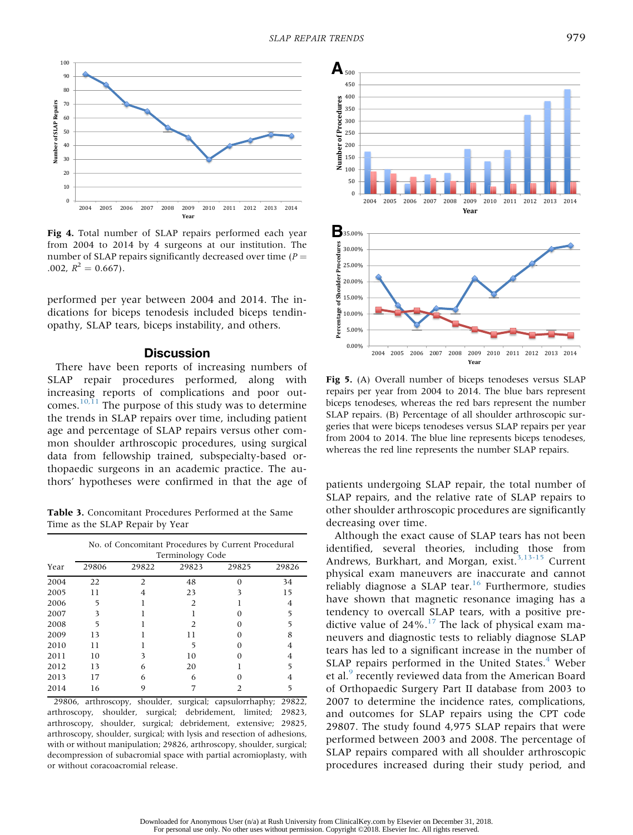

Fig 4. Total number of SLAP repairs performed each year from 2004 to 2014 by 4 surgeons at our institution. The number of SLAP repairs significantly decreased over time ( $P =$ .002,  $R^2 = 0.667$ ).

performed per year between 2004 and 2014. The indications for biceps tenodesis included biceps tendinopathy, SLAP tears, biceps instability, and others.

## **Discussion**

There have been reports of increasing numbers of SLAP repair procedures performed, along with increasing reports of complications and poor outcomes.<sup>10,11</sup> The purpose of this study was to determine the trends in SLAP repairs over time, including patient age and percentage of SLAP repairs versus other common shoulder arthroscopic procedures, using surgical data from fellowship trained, subspecialty-based orthopaedic surgeons in an academic practice. The authors' hypotheses were confirmed in that the age of patients undergoing SLAP repair, the total number of

Table 3. Concomitant Procedures Performed at the Same Time as the SLAP Repair by Year

|      |       | No. of Concomitant Procedures by Current Procedural<br>Terminology Code |       |       |       |  |  |
|------|-------|-------------------------------------------------------------------------|-------|-------|-------|--|--|
| Year | 29806 | 29822                                                                   | 29823 | 29825 | 29826 |  |  |
| 2004 | 22    | $\mathfrak{D}$                                                          | 48    |       | 34    |  |  |
| 2005 | 11    |                                                                         | 23    |       | 15    |  |  |
| 2006 | 5     |                                                                         | 2     |       |       |  |  |
| 2007 | ٩     |                                                                         |       |       |       |  |  |
| 2008 | 5     |                                                                         |       |       | 5     |  |  |
| 2009 | 13    |                                                                         | 11    |       | 8     |  |  |
| 2010 | 11    |                                                                         | 5     |       |       |  |  |
| 2011 | 10    |                                                                         | 10    |       |       |  |  |
| 2012 | 13    | 6                                                                       | 20    |       |       |  |  |
| 2013 | 17    |                                                                         | 6     |       |       |  |  |
| 2014 | 16    |                                                                         |       |       |       |  |  |

29806, arthroscopy, shoulder, surgical; capsulorrhaphy; 29822, arthroscopy, shoulder, surgical; debridement, limited; 29823, arthroscopy, shoulder, surgical; debridement, extensive; 29825, arthroscopy, shoulder, surgical; with lysis and resection of adhesions, with or without manipulation; 29826, arthroscopy, shoulder, surgical; decompression of subacromial space with partial acromioplasty, with or without coracoacromial release.



Fig 5. (A) Overall number of biceps tenodeses versus SLAP repairs per year from 2004 to 2014. The blue bars represent biceps tenodeses, whereas the red bars represent the number SLAP repairs. (B) Percentage of all shoulder arthroscopic surgeries that were biceps tenodeses versus SLAP repairs per year from 2004 to 2014. The blue line represents biceps tenodeses, whereas the red line represents the number SLAP repairs.

SLAP repairs, and the relative rate of SLAP repairs to other shoulder arthroscopic procedures are significantly decreasing over time.

Although the exact cause of SLAP tears has not been identified, several theories, including those from Andrews, Burkhart, and Morgan, exist.<sup>3,13-15</sup> Current physical exam maneuvers are inaccurate and cannot reliably diagnose a SLAP tear.<sup>16</sup> Furthermore, studies have shown that magnetic resonance imaging has a tendency to overcall SLAP tears, with a positive predictive value of  $24\%$ .<sup>17</sup> The lack of physical exam maneuvers and diagnostic tests to reliably diagnose SLAP tears has led to a significant increase in the number of SLAP repairs performed in the United States. $4$  Weber et al.<sup>9</sup> recently reviewed data from the American Board of Orthopaedic Surgery Part II database from 2003 to 2007 to determine the incidence rates, complications, and outcomes for SLAP repairs using the CPT code 29807. The study found 4,975 SLAP repairs that were performed between 2003 and 2008. The percentage of SLAP repairs compared with all shoulder arthroscopic procedures increased during their study period, and

Downloaded for Anonymous User (n/a) at Rush University from ClinicalKey.com by Elsevier on December 31, 2018. For personal use only. No other uses without permission. Copyright ©2018. Elsevier Inc. All rights reserved.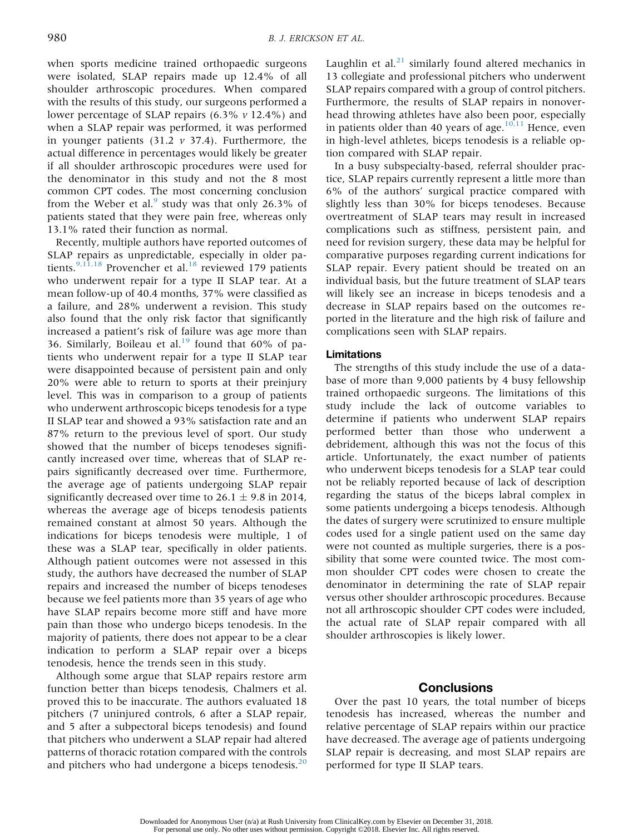when sports medicine trained orthopaedic surgeons were isolated, SLAP repairs made up 12.4% of all shoulder arthroscopic procedures. When compared with the results of this study, our surgeons performed a lower percentage of SLAP repairs  $(6.3\% \text{ v } 12.4\%)$  and when a SLAP repair was performed, it was performed in younger patients  $(31.2 \text{ v } 37.4)$ . Furthermore, the actual difference in percentages would likely be greater if all shoulder arthroscopic procedures were used for the denominator in this study and not the 8 most common CPT codes. The most concerning conclusion from the Weber et al. $\degree$  study was that only 26.3% of patients stated that they were pain free, whereas only 13.1% rated their function as normal.

Recently, multiple authors have reported outcomes of SLAP repairs as unpredictable, especially in older patients.<sup>9,11,18</sup> Provencher et al.<sup>18</sup> reviewed 179 patients who underwent repair for a type II SLAP tear. At a mean follow-up of 40.4 months, 37% were classified as a failure, and 28% underwent a revision. This study also found that the only risk factor that significantly increased a patient's risk of failure was age more than 36. Similarly, Boileau et al.<sup>19</sup> found that 60% of patients who underwent repair for a type II SLAP tear were disappointed because of persistent pain and only 20% were able to return to sports at their preinjury level. This was in comparison to a group of patients who underwent arthroscopic biceps tenodesis for a type II SLAP tear and showed a 93% satisfaction rate and an 87% return to the previous level of sport. Our study showed that the number of biceps tenodeses significantly increased over time, whereas that of SLAP repairs significantly decreased over time. Furthermore, the average age of patients undergoing SLAP repair significantly decreased over time to  $26.1 \pm 9.8$  in 2014, whereas the average age of biceps tenodesis patients remained constant at almost 50 years. Although the indications for biceps tenodesis were multiple, 1 of these was a SLAP tear, specifically in older patients. Although patient outcomes were not assessed in this study, the authors have decreased the number of SLAP repairs and increased the number of biceps tenodeses because we feel patients more than 35 years of age who have SLAP repairs become more stiff and have more pain than those who undergo biceps tenodesis. In the majority of patients, there does not appear to be a clear indication to perform a SLAP repair over a biceps tenodesis, hence the trends seen in this study.

Although some argue that SLAP repairs restore arm function better than biceps tenodesis, Chalmers et al. proved this to be inaccurate. The authors evaluated 18 pitchers (7 uninjured controls, 6 after a SLAP repair, and 5 after a subpectoral biceps tenodesis) and found that pitchers who underwent a SLAP repair had altered patterns of thoracic rotation compared with the controls and pitchers who had undergone a biceps tenodesis. $20$ 

Laughlin et al. $^{21}$  similarly found altered mechanics in 13 collegiate and professional pitchers who underwent SLAP repairs compared with a group of control pitchers. Furthermore, the results of SLAP repairs in nonoverhead throwing athletes have also been poor, especially in patients older than 40 years of age. $10,11$  Hence, even in high-level athletes, biceps tenodesis is a reliable option compared with SLAP repair.

In a busy subspecialty-based, referral shoulder practice, SLAP repairs currently represent a little more than 6% of the authors' surgical practice compared with slightly less than 30% for biceps tenodeses. Because overtreatment of SLAP tears may result in increased complications such as stiffness, persistent pain, and need for revision surgery, these data may be helpful for comparative purposes regarding current indications for SLAP repair. Every patient should be treated on an individual basis, but the future treatment of SLAP tears will likely see an increase in biceps tenodesis and a decrease in SLAP repairs based on the outcomes reported in the literature and the high risk of failure and complications seen with SLAP repairs.

## Limitations

The strengths of this study include the use of a database of more than 9,000 patients by 4 busy fellowship trained orthopaedic surgeons. The limitations of this study include the lack of outcome variables to determine if patients who underwent SLAP repairs performed better than those who underwent a debridement, although this was not the focus of this article. Unfortunately, the exact number of patients who underwent biceps tenodesis for a SLAP tear could not be reliably reported because of lack of description regarding the status of the biceps labral complex in some patients undergoing a biceps tenodesis. Although the dates of surgery were scrutinized to ensure multiple codes used for a single patient used on the same day were not counted as multiple surgeries, there is a possibility that some were counted twice. The most common shoulder CPT codes were chosen to create the denominator in determining the rate of SLAP repair versus other shoulder arthroscopic procedures. Because not all arthroscopic shoulder CPT codes were included, the actual rate of SLAP repair compared with all shoulder arthroscopies is likely lower.

# **Conclusions**

Over the past 10 years, the total number of biceps tenodesis has increased, whereas the number and relative percentage of SLAP repairs within our practice have decreased. The average age of patients undergoing SLAP repair is decreasing, and most SLAP repairs are performed for type II SLAP tears.

Downloaded for Anonymous User (n/a) at Rush University from ClinicalKey.com by Elsevier on December 31, 2018. For personal use only. No other uses without permission. Copyright ©2018. Elsevier Inc. All rights reserved.